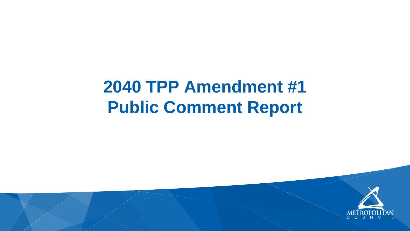# **2040 TPP Amendment #1 Public Comment Report**

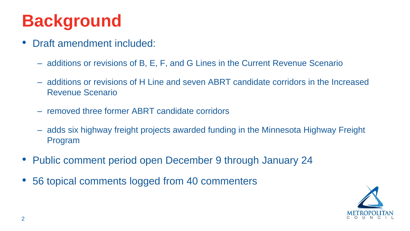

#### **Background**

- Draft amendment included:
	- additions or revisions of B, E, F, and G Lines in the Current Revenue Scenario
	- additions or revisions of H Line and seven ABRT candidate corridors in the Increased Revenue Scenario
	- removed three former ABRT candidate corridors
	- adds six highway freight projects awarded funding in the Minnesota Highway Freight Program
- Public comment period open December 9 through January 24
- 56 topical comments logged from 40 commenters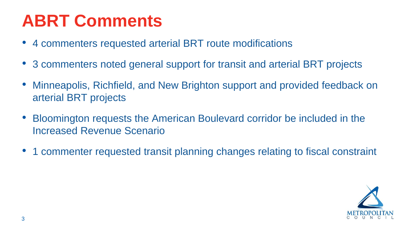

- 4 commenters requested arterial BRT route modifications
- 3 commenters noted general support for transit and arterial BRT projects
- Minneapolis, Richfield, and New Brighton support and provided feedback on arterial BRT projects
- Bloomington requests the American Boulevard corridor be included in the Increased Revenue Scenario
- 1 commenter requested transit planning changes relating to fiscal constraint

## **ABRT Comments**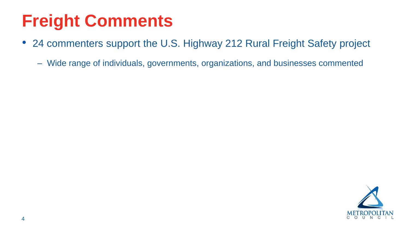#### • 24 commenters support the U.S. Highway 212 Rural Freight Safety project

## **Freight Comments**

- -

– Wide range of individuals, governments, organizations, and businesses commented

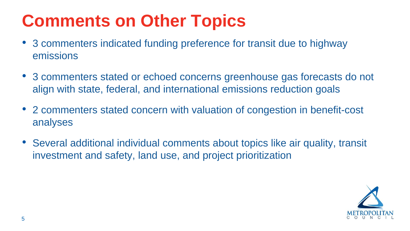

## **Comments on Other Topics**

- 3 commenters indicated funding preference for transit due to highway emissions
- 3 commenters stated or echoed concerns greenhouse gas forecasts do not align with state, federal, and international emissions reduction goals
- 2 commenters stated concern with valuation of congestion in benefit-cost analyses
- Several additional individual comments about topics like air quality, transit investment and safety, land use, and project prioritization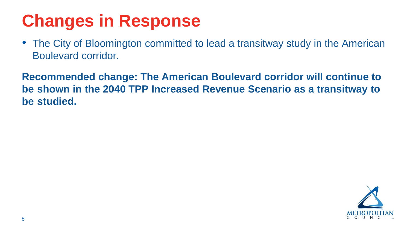

• The City of Bloomington committed to lead a transitway study in the American



# **Changes in Response**

Boulevard corridor.

**Recommended change: The American Boulevard corridor will continue to be shown in the 2040 TPP Increased Revenue Scenario as a transitway to be studied.**